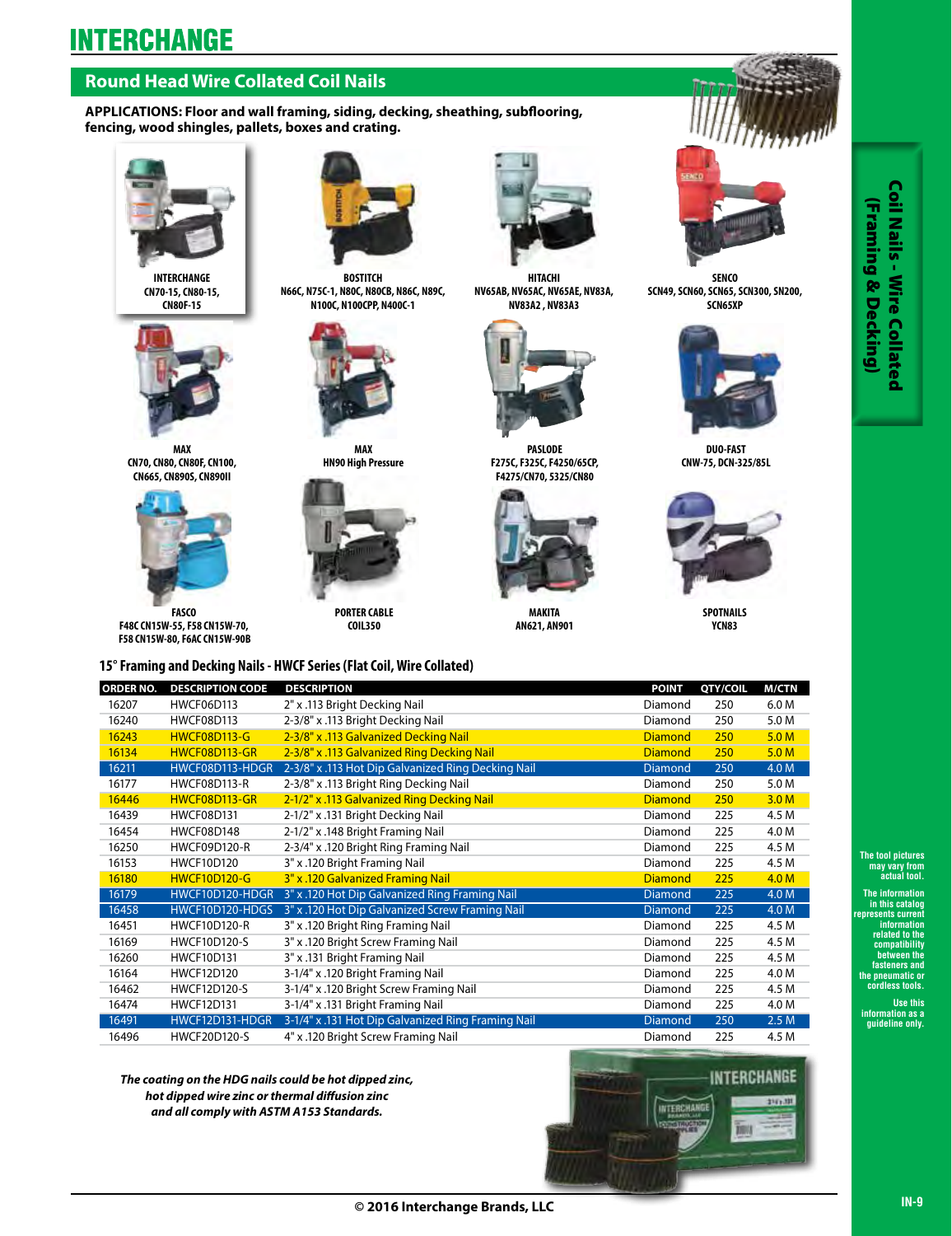## **Round Head Wire Collated Coil Nails**

**APPLICATIONS: Floor and wall framing, siding, decking, sheathing, subflooring, fencing, wood shingles, pallets, boxes and crating.**



**INTERCHANGE CN70-15, CN80-15, CN80F-15**



**MAX CN70, CN80, CN80F, CN100, CN665, CN890S, CN890II**



**FASCO F48C CN15W-55, F58 CN15W-70, F58 CN15W-80, F6AC CN15W-90B**



**BOSTITCH N66C, N75C-1, N80C, N80CB, N86C, N89C, N100C, N100CPP, N400C-1** 



**MAX HN90 High Pressure** 



**PORTER CABLE COIL350**



**HITACHI NV65AB, NV65AC, NV65AE, NV83A, NV83A2 , NV83A3**



**PASLODE F275C, F325C, F4250/65CP, F4275/CN70, 5325/CN80**



**MAKITA AN621, AN901**



**SENCO SCN49, SCN60, SCN65, SCN300, SN200, SCN65XP**



**DUO-FAST CNW-75, DCN-325/85L**



**SPOTNAILS YCN83**

### **15° Framing and Decking Nails - HWCF Series (Flat Coil, Wire Collated)**

| <b>ORDER NO.</b> | <b>DESCRIPTION CODE</b> | <b>DESCRIPTION</b>                                 | <b>POINT</b>   | QTY/COIL | <b>M/CTN</b>     |
|------------------|-------------------------|----------------------------------------------------|----------------|----------|------------------|
| 16207            | <b>HWCF06D113</b>       | 2" x .113 Bright Decking Nail                      | Diamond        | 250      | 6.0 M            |
| 16240            | <b>HWCF08D113</b>       | 2-3/8" x .113 Bright Decking Nail                  | Diamond        | 250      | 5.0 M            |
| 16243            | <b>HWCF08D113-G</b>     | 2-3/8" x .113 Galvanized Decking Nail              | <b>Diamond</b> | 250      | 5.0 M            |
| 16134            | HWCF08D113-GR           | 2-3/8" x .113 Galvanized Ring Decking Nail         | <b>Diamond</b> | 250      | 5.0 M            |
| 16211            | HWCF08D113-HDGR         | 2-3/8" x .113 Hot Dip Galvanized Ring Decking Nail | <b>Diamond</b> | 250      | 4.0 M            |
| 16177            | <b>HWCF08D113-R</b>     | 2-3/8" x .113 Bright Ring Decking Nail             | Diamond        | 250      | 5.0 M            |
| 16446            | HWCF08D113-GR           | 2-1/2" x .113 Galvanized Ring Decking Nail         | <b>Diamond</b> | 250      | 3.0 <sub>M</sub> |
| 16439            | <b>HWCF08D131</b>       | 2-1/2" x .131 Bright Decking Nail                  | Diamond        | 225      | 4.5 M            |
| 16454            | <b>HWCF08D148</b>       | 2-1/2" x .148 Bright Framing Nail                  | Diamond        | 225      | 4.0 M            |
| 16250            | <b>HWCF09D120-R</b>     | 2-3/4" x .120 Bright Ring Framing Nail             | Diamond        | 225      | 4.5 M            |
| 16153            | <b>HWCF10D120</b>       | 3" x .120 Bright Framing Nail                      | Diamond        | 225      | 4.5 M            |
| 16180            | <b>HWCF10D120-G</b>     | 3" x .120 Galvanized Framing Nail                  | <b>Diamond</b> | 225      | 4.0 <sub>M</sub> |
| 16179            | HWCF10D120-HDGR         | 3" x .120 Hot Dip Galvanized Ring Framing Nail     | <b>Diamond</b> | 225      | 4.0 M            |
| 16458            | HWCF10D120-HDGS         | 3" x .120 Hot Dip Galvanized Screw Framing Nail    | <b>Diamond</b> | 225      | 4.0 M            |
| 16451            | <b>HWCF10D120-R</b>     | 3" x .120 Bright Ring Framing Nail                 | Diamond        | 225      | 4.5 M            |
| 16169            | <b>HWCF10D120-S</b>     | 3" x .120 Bright Screw Framing Nail                | Diamond        | 225      | 4.5 M            |
| 16260            | <b>HWCF10D131</b>       | 3" x .131 Bright Framing Nail                      | Diamond        | 225      | 4.5 M            |
| 16164            | <b>HWCF12D120</b>       | 3-1/4" x .120 Bright Framing Nail                  | Diamond        | 225      | 4.0 M            |
| 16462            | <b>HWCF12D120-S</b>     | 3-1/4" x .120 Bright Screw Framing Nail            | Diamond        | 225      | 4.5 M            |
| 16474            | <b>HWCF12D131</b>       | 3-1/4" x .131 Bright Framing Nail                  | Diamond        | 225      | 4.0 M            |
| 16491            | HWCF12D131-HDGR         | 3-1/4" x .131 Hot Dip Galvanized Ring Framing Nail | <b>Diamond</b> | 250      | 2.5M             |
| 16496            | <b>HWCF20D120-S</b>     | 4" x .120 Bright Screw Framing Nail                | Diamond        | 225      | 4.5 M            |

*The coating on the HDG nails could be hot dipped zinc, hot dipped wire zinc or thermal diffusion zinc and all comply with ASTM A153 Standards.*



**The tool pictures may vary from actual tool.**

**The information in this catalog represents current information related to the compatibility between the fasteners and the pneumatic or cordless tools. I** pictures<br> **I** pictures<br> **I** and **Collated**<br> **International conducts**<br> **IN-9** Conduction as catalog<br> **IN-9**<br> **IN-9**<br> **IN-9** 

**Use this information as a guideline only.** 

Coil Nails - Wire Collated (Framing & Decking) (Framing & Decking)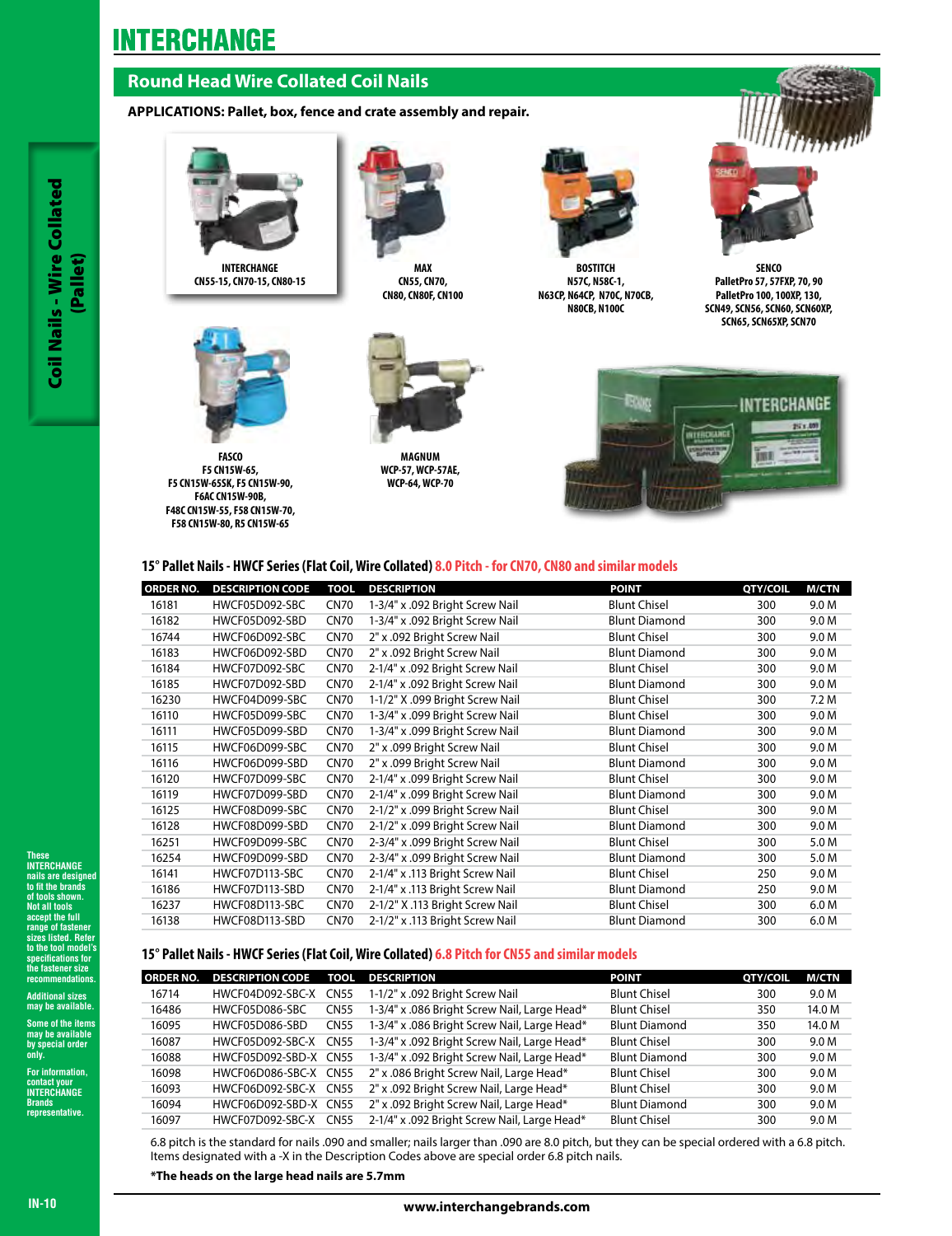## **Round Head Wire Collated Coil Nails**

## **APPLICATIONS: Pallet, box, fence and crate assembly and repair.**



**INTERCHANGE CN55-15, CN70-15, CN80-15**



**MAX CN55, CN70, CN80, CN80F, CN100**



**BOSTITCH N57C, N58C-1, N63CP, N64CP, N70C, N70CB, N80CB, N100C**



**SENCO PalletPro 57, 57FXP, 70, 90 PalletPro 100, 100XP, 130, SCN49, SCN56, SCN60, SCN60XP, SCN65, SCN65XP, SCN70**



**FASCO F5 CN15W-65, F5 CN15W-65SK, F5 CN15W-90, F6AC CN15W-90B, F48C CN15W-55, F58 CN15W-70, F58 CN15W-80, R5 CN15W-65**



**MAGNUM WCP-57, WCP-57AE, WCP-64, WCP-70**



#### **15° Pallet Nails - HWCF Series (Flat Coil, Wire Collated) 8.0 Pitch - for CN70, CN80 and similar models**

| ORDER NO. | <b>DESCRIPTION CODE</b> | <b>TOOL</b> | <b>DESCRIPTION</b>              | <b>POINT</b>         | QTY/COIL | <b>M/CTN</b> |
|-----------|-------------------------|-------------|---------------------------------|----------------------|----------|--------------|
| 16181     | HWCF05D092-SBC          | <b>CN70</b> | 1-3/4" x .092 Bright Screw Nail | <b>Blunt Chisel</b>  | 300      | 9.0 M        |
| 16182     | HWCF05D092-SBD          | <b>CN70</b> | 1-3/4" x .092 Bright Screw Nail | <b>Blunt Diamond</b> | 300      | 9.0 M        |
| 16744     | HWCF06D092-SBC          | <b>CN70</b> | 2" x .092 Bright Screw Nail     | <b>Blunt Chisel</b>  | 300      | 9.0 M        |
| 16183     | HWCF06D092-SBD          | <b>CN70</b> | 2" x .092 Bright Screw Nail     | <b>Blunt Diamond</b> | 300      | 9.0 M        |
| 16184     | HWCF07D092-SBC          | <b>CN70</b> | 2-1/4" x .092 Bright Screw Nail | <b>Blunt Chisel</b>  | 300      | 9.0 M        |
| 16185     | HWCF07D092-SBD          | <b>CN70</b> | 2-1/4" x .092 Bright Screw Nail | <b>Blunt Diamond</b> | 300      | 9.0 M        |
| 16230     | HWCF04D099-SBC          | <b>CN70</b> | 1-1/2" X .099 Bright Screw Nail | <b>Blunt Chisel</b>  | 300      | 7.2M         |
| 16110     | HWCF05D099-SBC          | <b>CN70</b> | 1-3/4" x .099 Bright Screw Nail | <b>Blunt Chisel</b>  | 300      | 9.0 M        |
| 16111     | HWCF05D099-SBD          | <b>CN70</b> | 1-3/4" x .099 Bright Screw Nail | <b>Blunt Diamond</b> | 300      | 9.0 M        |
| 16115     | HWCF06D099-SBC          | <b>CN70</b> | 2" x .099 Bright Screw Nail     | <b>Blunt Chisel</b>  | 300      | 9.0 M        |
| 16116     | HWCF06D099-SBD          | <b>CN70</b> | 2" x .099 Bright Screw Nail     | <b>Blunt Diamond</b> | 300      | 9.0 M        |
| 16120     | HWCF07D099-SBC          | <b>CN70</b> | 2-1/4" x .099 Bright Screw Nail | <b>Blunt Chisel</b>  | 300      | 9.0 M        |
| 16119     | HWCF07D099-SBD          | <b>CN70</b> | 2-1/4" x .099 Bright Screw Nail | <b>Blunt Diamond</b> | 300      | 9.0 M        |
| 16125     | HWCF08D099-SBC          | <b>CN70</b> | 2-1/2" x .099 Bright Screw Nail | <b>Blunt Chisel</b>  | 300      | 9.0 M        |
| 16128     | HWCF08D099-SBD          | <b>CN70</b> | 2-1/2" x .099 Bright Screw Nail | <b>Blunt Diamond</b> | 300      | 9.0 M        |
| 16251     | HWCF09D099-SBC          | <b>CN70</b> | 2-3/4" x .099 Bright Screw Nail | <b>Blunt Chisel</b>  | 300      | 5.0 M        |
| 16254     | HWCF09D099-SBD          | <b>CN70</b> | 2-3/4" x .099 Bright Screw Nail | <b>Blunt Diamond</b> | 300      | 5.0 M        |
| 16141     | HWCF07D113-SBC          | <b>CN70</b> | 2-1/4" x .113 Bright Screw Nail | <b>Blunt Chisel</b>  | 250      | 9.0 M        |
| 16186     | HWCF07D113-SBD          | <b>CN70</b> | 2-1/4" x .113 Bright Screw Nail | <b>Blunt Diamond</b> | 250      | 9.0 M        |
| 16237     | HWCF08D113-SBC          | <b>CN70</b> | 2-1/2" X .113 Bright Screw Nail | <b>Blunt Chisel</b>  | 300      | 6.0 M        |
| 16138     | HWCF08D113-SBD          | <b>CN70</b> | 2-1/2" x .113 Bright Screw Nail | <b>Blunt Diamond</b> | 300      | 6.0 M        |

#### **15° Pallet Nails - HWCF Series (Flat Coil, Wire Collated) 6.8 Pitch for CN55 and similar models**

| <b>ORDER NO.</b> | <b>DESCRIPTION CODE</b> | <b>TOOL</b> | <b>DESCRIPTION</b>                           | <b>POINT</b>         | QTY/COIL | <b>M/CTN</b> |
|------------------|-------------------------|-------------|----------------------------------------------|----------------------|----------|--------------|
| 16714            | HWCF04D092-SBC-X        | CN55        | 1-1/2" x .092 Bright Screw Nail              | <b>Blunt Chisel</b>  | 300      | 9.0 M        |
| 16486            | HWCF05D086-SBC          | <b>CN55</b> | 1-3/4" x .086 Bright Screw Nail, Large Head* | <b>Blunt Chisel</b>  | 350      | 14.0 M       |
| 16095            | HWCF05D086-SBD          | <b>CN55</b> | 1-3/4" x .086 Bright Screw Nail, Large Head* | <b>Blunt Diamond</b> | 350      | 14.0 M       |
| 16087            | HWCF05D092-SBC-X        | <b>CN55</b> | 1-3/4" x .092 Bright Screw Nail, Large Head* | <b>Blunt Chisel</b>  | 300      | 9.0 M        |
| 16088            | HWCF05D092-SBD-X CN55   |             | 1-3/4" x .092 Bright Screw Nail, Large Head* | <b>Blunt Diamond</b> | 300      | 9.0 M        |
| 16098            | HWCF06D086-SBC-X CN55   |             | 2" x .086 Bright Screw Nail, Large Head*     | <b>Blunt Chisel</b>  | 300      | 9.0 M        |
| 16093            | HWCF06D092-SBC-X        | CN55        | 2" x .092 Bright Screw Nail, Large Head*     | <b>Blunt Chisel</b>  | 300      | 9.0 M        |
| 16094            | HWCF06D092-SBD-X CN55   |             | 2" x .092 Bright Screw Nail, Large Head*     | <b>Blunt Diamond</b> | 300      | 9.0 M        |
| 16097            | HWCF07D092-SBC-X        | CN55        | 2-1/4" x .092 Bright Screw Nail, Large Head* | <b>Blunt Chisel</b>  | 300      | 9.0 M        |

6.8 pitch is the standard for nails .090 and smaller; nails larger than .090 are 8.0 pitch, but they can be special ordered with a 6.8 pitch. Items designated with a -X in the Description Codes above are special order 6.8 pitch nails.

**\*The heads on the large head nails are 5.7mm**

## **These INTERCHANGE**

**nails are designed to fit the brands of tools shown. Not all tools accept the full range of fastener sizes listed. Refer to the tool model's specifications for the fastener size rnmendations IN-100 COIL NAMERICH:**<br>INTERCH:<br>INTERCH:<br>INSTAND to the the tools as a control to the tools of the control of the control of the control of the community of the community of a community of a community of a control of the

**Additional sizes may be available.** 

**Some of the items may be available by special order only. For information,** 

**contact your INTERCHANGE Brands representative.**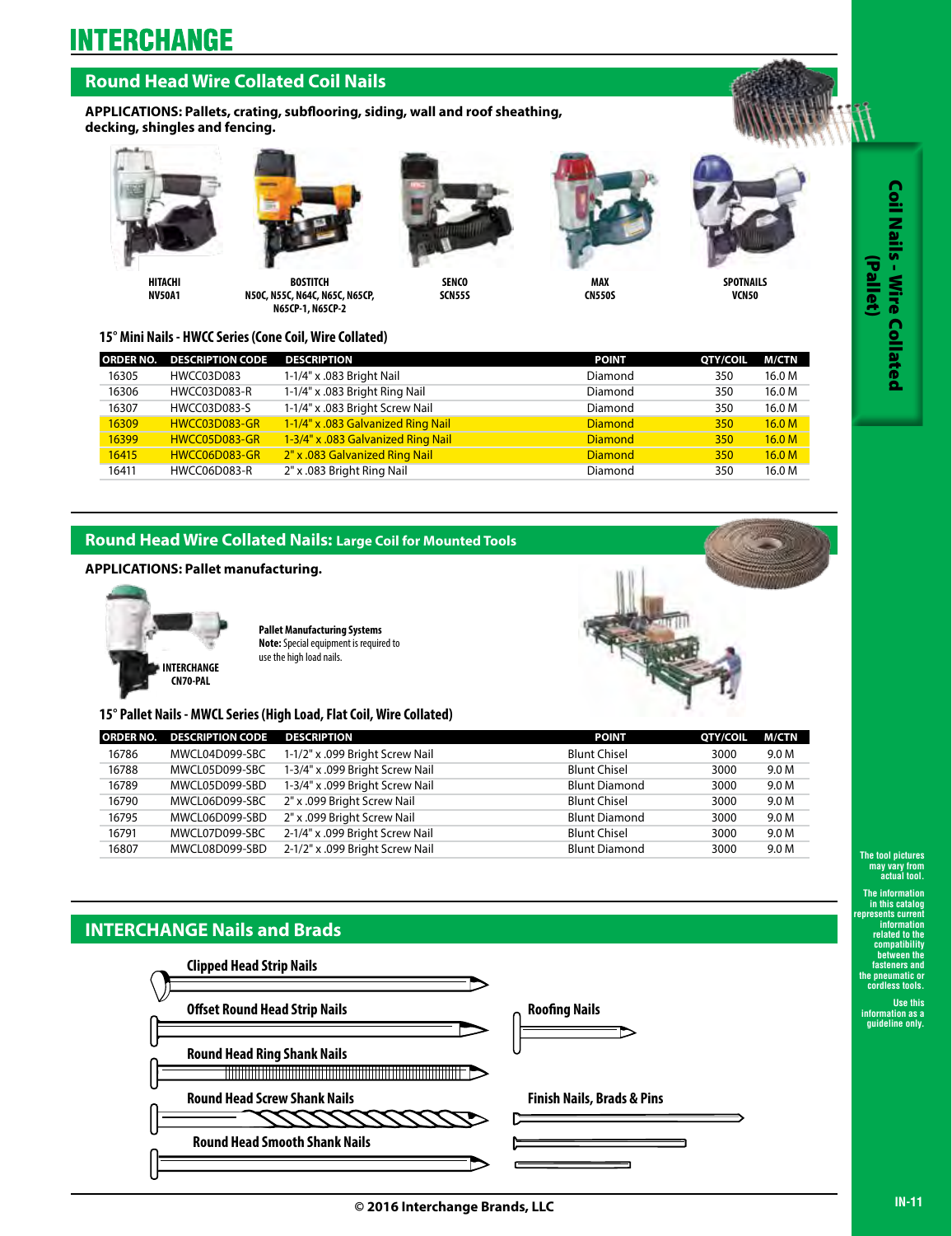## **Round Head Wire Collated Coil Nails**

**APPLICATIONS: Pallets, crating, subflooring, siding, wall and roof sheathing, decking, shingles and fencing.**







**BOSTITCH N50C, N55C, N64C, N65C, N65CP, N65CP-1, N65CP-2**



**SENCO SCN55S**



**MAX CN550S**



**VCN50**

**15° Mini Nails - HWCC Series (Cone Coil, Wire Collated)**

|       | <b>ORDER NO. DESCRIPTION CODE</b> | <b>DESCRIPTION</b>                 | <b>POINT</b>   | QTY/COIL | M/CTN             |
|-------|-----------------------------------|------------------------------------|----------------|----------|-------------------|
| 16305 | HWCC03D083                        | 1-1/4" x .083 Bright Nail          | Diamond        | 350      | 16.0 M            |
| 16306 | <b>HWCC03D083-R</b>               | 1-1/4" x .083 Bright Ring Nail     | Diamond        | 350      | 16.0 M            |
| 16307 | HWCC03D083-S                      | 1-1/4" x .083 Bright Screw Nail    | Diamond        | 350      | 16.0 M            |
| 16309 | HWCC03D083-GR                     | 1-1/4" x .083 Galvanized Ring Nail | <b>Diamond</b> | 350      | 16.0 <sub>M</sub> |
| 16399 | HWCC05D083-GR                     | 1-3/4" x .083 Galvanized Ring Nail | <b>Diamond</b> | 350      | 16.0 <sub>M</sub> |
| 16415 | HWCC06D083-GR                     | 2" x .083 Galvanized Ring Nail     | <b>Diamond</b> | 350      | 16.0 <sub>M</sub> |
| 16411 | HWCC06D083-R                      | 2" x .083 Bright Ring Nail         | Diamond        | 350      | 16.0 M            |

### **Round Head Wire Collated Nails: Large Coil for Mounted Tools**

#### **APPLICATIONS: Pallet manufacturing.**



**Pallet Manufacturing Systems Note:** Special equipment is required to use the high load nails.



**15° Pallet Nails - MWCL Series (High Load, Flat Coil, Wire Collated)**

| <b>ORDER NO.</b> | <b>DESCRIPTION CODE</b> | <b>DESCRIPTION</b>              | <b>POINT</b>         | QTY/COIL | M/CTN |
|------------------|-------------------------|---------------------------------|----------------------|----------|-------|
| 16786            | MWCL04D099-SBC          | 1-1/2" x .099 Bright Screw Nail | <b>Blunt Chisel</b>  | 3000     | 9.0 M |
| 16788            | MWCL05D099-SBC          | 1-3/4" x .099 Bright Screw Nail | <b>Blunt Chisel</b>  | 3000     | 9.0 M |
| 16789            | MWCL05D099-SBD          | 1-3/4" x .099 Bright Screw Nail | <b>Blunt Diamond</b> | 3000     | 9.0 M |
| 16790            | MWCL06D099-SBC          | 2" x .099 Bright Screw Nail     | <b>Blunt Chisel</b>  | 3000     | 9.0 M |
| 16795            | MWCL06D099-SBD          | 2" x .099 Bright Screw Nail     | <b>Blunt Diamond</b> | 3000     | 9.0 M |
| 16791            | MWCL07D099-SBC          | 2-1/4" x .099 Bright Screw Nail | <b>Blunt Chisel</b>  | 3000     | 9.0 M |
| 16807            | MWCL08D099-SBD          | 2-1/2" x .099 Bright Screw Nail | <b>Blunt Diamond</b> | 3000     | 9.0 M |

## **INTERCHANGE Nails and Brads**



**The tool pictures may vary from actual tool.**

**The information in this catalog represents current information related to the compatibility between the fasteners and the pneumatic or cordless tools.** 

**Use this information as a guideline only.**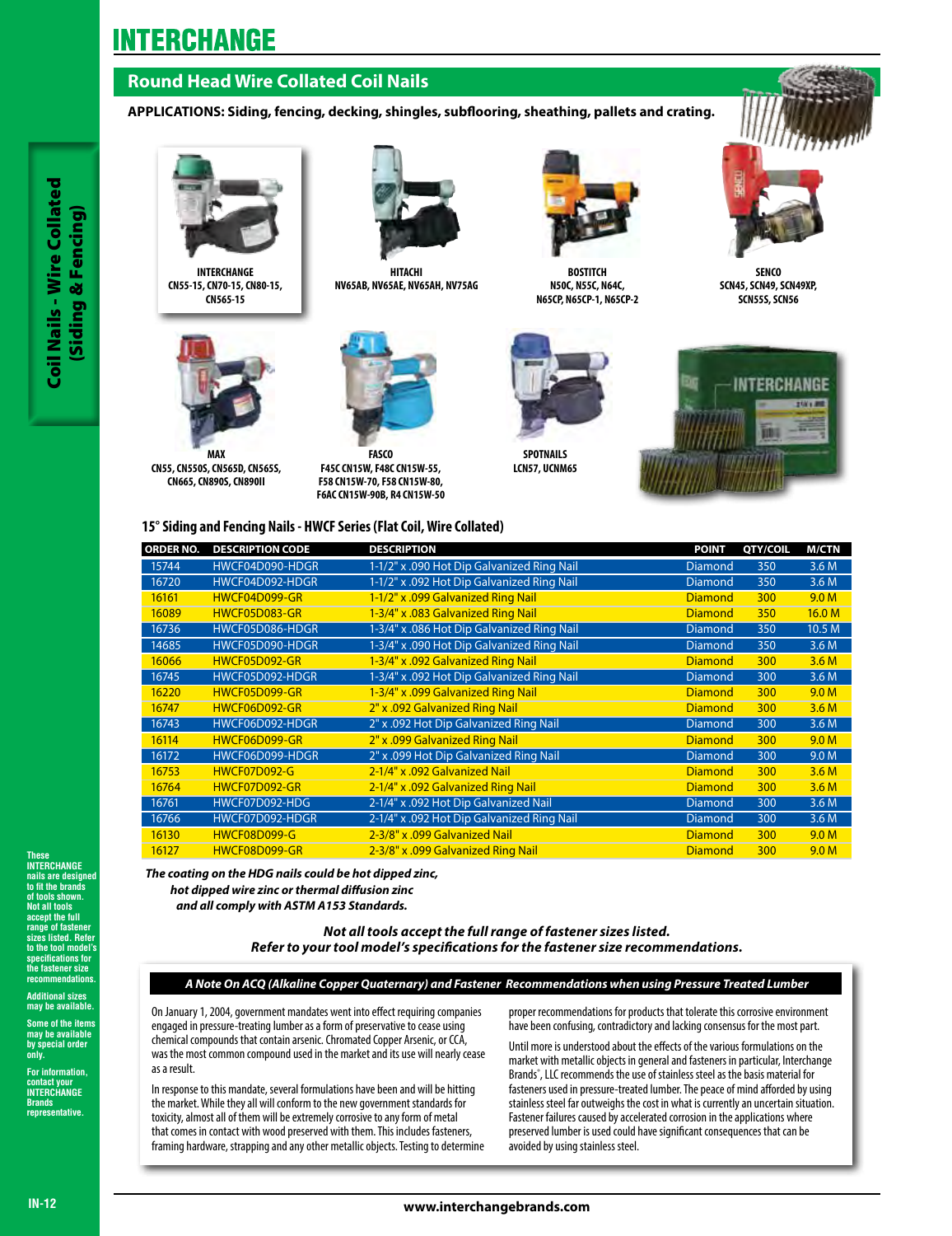## **Round Head Wire Collated Coil Nails**

## **APPLICATIONS: Siding, fencing, decking, shingles, subflooring, sheathing, pallets and crating.**



**INTERCHANGE CN55-15, CN70-15, CN80-15, CN565-15**



**MAX CN55, CN550S, CN565D, CN565S, CN665, CN890S, CN890II** 



**HITACHI NV65AB, NV65AE, NV65AH, NV75AG**

**FASCO F45C CN15W, F48C CN15W-55, F58 CN15W-70, F58 CN15W-80, F6AC CN15W-90B, R4 CN15W-50**



**BOSTITCH N50C, N55C, N64C, N65CP, N65CP-1, N65CP-2**

**SPOTNAILS LCN57, UCNM65** 





**SENCO SCN45, SCN49, SCN49XP, SCN55S, SCN56**



**15° Siding and Fencing Nails - HWCF Series (Flat Coil, Wire Collated)**

| <b>ORDER NO.</b> | <b>DESCRIPTION CODE</b> | <b>DESCRIPTION</b>                         | <b>POINT</b>   | QTY/COIL | <b>M/CTN</b>      |
|------------------|-------------------------|--------------------------------------------|----------------|----------|-------------------|
| 15744            | HWCF04D090-HDGR         | 1-1/2" x .090 Hot Dip Galvanized Ring Nail | <b>Diamond</b> | 350      | 3.6 M             |
| 16720            | HWCF04D092-HDGR         | 1-1/2" x .092 Hot Dip Galvanized Ring Nail | Diamond        | 350      | 3.6 M             |
| 16161            | HWCF04D099-GR           | 1-1/2" x .099 Galvanized Ring Nail         | <b>Diamond</b> | 300      | 9.0 <sub>M</sub>  |
| 16089            | HWCF05D083-GR           | 1-3/4" x .083 Galvanized Ring Nail         | <b>Diamond</b> | 350      | 16.0 <sub>M</sub> |
| 16736            | HWCF05D086-HDGR         | 1-3/4" x .086 Hot Dip Galvanized Ring Nail | <b>Diamond</b> | 350      | 10.5 M            |
| 14685            | HWCF05D090-HDGR         | 1-3/4" x .090 Hot Dip Galvanized Ring Nail | <b>Diamond</b> | 350      | 3.6 M             |
| 16066            | HWCF05D092-GR           | 1-3/4" x .092 Galvanized Ring Nail         | <b>Diamond</b> | 300      | 3.6 <sub>M</sub>  |
| 16745            | HWCF05D092-HDGR         | 1-3/4" x .092 Hot Dip Galvanized Ring Nail | <b>Diamond</b> | 300      | 3.6M              |
| 16220            | HWCF05D099-GR           | 1-3/4" x .099 Galvanized Ring Nail         | <b>Diamond</b> | 300      | 9.0 <sub>M</sub>  |
| 16747            | HWCF06D092-GR           | 2" x .092 Galvanized Ring Nail             | <b>Diamond</b> | 300      | 3.6 <sub>M</sub>  |
| 16743            | HWCF06D092-HDGR         | 2" x .092 Hot Dip Galvanized Ring Nail     | <b>Diamond</b> | 300      | 3.6M              |
| 16114            | HWCF06D099-GR           | 2" x .099 Galvanized Ring Nail             | <b>Diamond</b> | 300      | 9.0 <sub>M</sub>  |
| 16172            | HWCF06D099-HDGR         | 2" x .099 Hot Dip Galvanized Ring Nail     | <b>Diamond</b> | 300      | 9.0 M             |
| 16753            | <b>HWCF07D092-G</b>     | 2-1/4" x .092 Galvanized Nail              | <b>Diamond</b> | 300      | 3.6M              |
| 16764            | HWCF07D092-GR           | 2-1/4" x .092 Galvanized Ring Nail         | <b>Diamond</b> | 300      | 3.6 <sub>M</sub>  |
| 16761            | HWCF07D092-HDG          | 2-1/4" x .092 Hot Dip Galvanized Nail      | <b>Diamond</b> | 300      | 3.6 M             |
| 16766            | HWCF07D092-HDGR         | 2-1/4" x .092 Hot Dip Galvanized Ring Nail | <b>Diamond</b> | 300      | 3.6M              |
| 16130            | <b>HWCF08D099-G</b>     | 2-3/8" x .099 Galvanized Nail              | <b>Diamond</b> | 300      | 9.0 <sub>M</sub>  |
| 16127            | HWCF08D099-GR           | 2-3/8" x .099 Galvanized Ring Nail         | <b>Diamond</b> | 300      | 9.0 <sub>M</sub>  |

*Not all tools accept the full range of fastener sizes listed.* 

## **These INTERCHANGE**

**nails are designed to fit the brands of tools shown. Not all tools accept the full range of fastener slisted. Refere to the tool model's specifications for the fastener size recommendations. THE SECRET WAS SERVED AND RELEASE TO A CONSUMING THE SERVED ON A CONSUMING THE SERVED ON A CONSUMING A CONSUMING THE SERVED ON A CONSUMING THE SERVED ON A CONSUMING THE SERVED ON A CONSUMING THE SERVED CONSUMING THE SERVE** 

(Siding & Fencing)

**Coil Nails - Wire Collated** Siding & Fencing

**Additional sizes may be available.** 

**Some of the items may be available by special order** 

**For information, contact your INTERCHANGE Brands representative.** 

**only.**

*A Note On ACQ (Alkaline Copper Quaternary) and Fastener Recommendations when using Pressure Treated Lumber Refer to your tool model's specifications for the fastener size recommendations.*

*The coating on the HDG nails could be hot dipped zinc, hot dipped wire zinc or thermal diffusion zinc and all comply with ASTM A153 Standards.*

On January 1, 2004, government mandates went into effect requiring companies engaged in pressure-treating lumber as a form of preservative to cease using chemical compounds that contain arsenic. Chromated Copper Arsenic, or CCA, was the most common compound used in the market and its use will nearly cease as a result.

In response to this mandate, several formulations have been and will be hitting the market. While they all will conform to the new government standards for toxicity, almost all of them will be extremely corrosive to any form of metal that comes in contact with wood preserved with them. This includes fasteners, framing hardware, strapping and any other metallic objects. Testing to determine proper recommendations for products that tolerate this corrosive environment have been confusing, contradictory and lacking consensus for the most part.

Until more is understood about the effects of the various formulations on the market with metallic objects in general and fasteners in particular, Interchange Brands® , LLC recommends the use of stainless steel as the basis material for fasteners used in pressure-treated lumber. The peace of mind afforded by using stainless steel far outweighs the cost in what is currently an uncertain situation. Fastener failures caused by accelerated corrosion in the applications where preserved lumber is used could have significant consequences that can be avoided by using stainless steel.